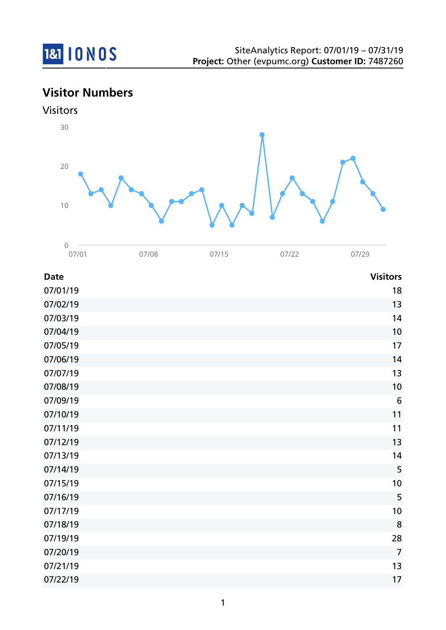

# **Visitor Numbers**





| <b>Date</b> | <b>Visitors</b> |
|-------------|-----------------|
| 07/01/19    | 18              |
| 07/02/19    | 13              |
| 07/03/19    | 14              |
| 07/04/19    | 10              |
| 07/05/19    | 17              |
| 07/06/19    | 14              |
| 07/07/19    | 13              |
| 07/08/19    | 10              |
| 07/09/19    | $6\,$           |
| 07/10/19    | 11              |
| 07/11/19    | 11              |
| 07/12/19    | 13              |
| 07/13/19    | 14              |
| 07/14/19    | 5               |
| 07/15/19    | 10              |
| 07/16/19    | 5               |
| 07/17/19    | 10              |
| 07/18/19    | 8               |
| 07/19/19    | 28              |
| 07/20/19    | $\overline{7}$  |
| 07/21/19    | 13              |
| 07/22/19    | 17              |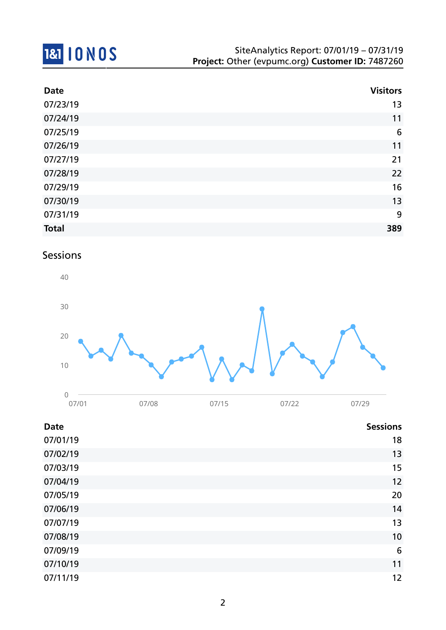

| <b>Date</b>  | <b>Visitors</b> |
|--------------|-----------------|
| 07/23/19     | 13              |
| 07/24/19     | 11              |
| 07/25/19     | $6\phantom{1}6$ |
| 07/26/19     | 11              |
| 07/27/19     | 21              |
| 07/28/19     | 22              |
| 07/29/19     | 16              |
| 07/30/19     | 13              |
| 07/31/19     | 9               |
| <b>Total</b> | 389             |

## Sessions



| <b>Date</b> | <b>Sessions</b> |
|-------------|-----------------|
| 07/01/19    | 18              |
| 07/02/19    | 13              |
| 07/03/19    | 15              |
| 07/04/19    | 12              |
| 07/05/19    | 20              |
| 07/06/19    | 14              |
| 07/07/19    | 13              |
| 07/08/19    | 10              |
| 07/09/19    | 6               |
| 07/10/19    | 11              |
| 07/11/19    | 12              |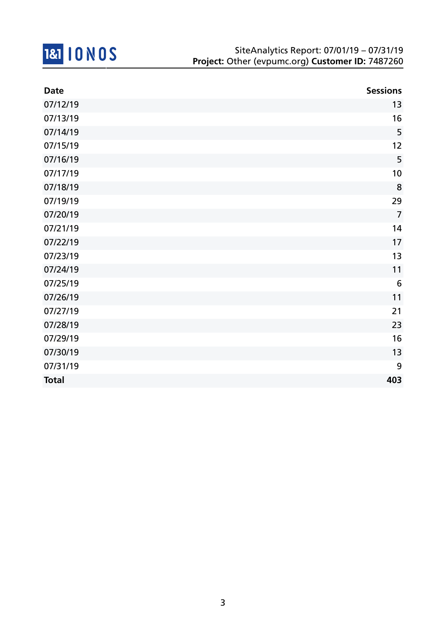

| <b>Date</b>  | <b>Sessions</b> |
|--------------|-----------------|
| 07/12/19     | 13              |
| 07/13/19     | 16              |
| 07/14/19     | 5               |
| 07/15/19     | 12              |
| 07/16/19     | 5               |
| 07/17/19     | 10              |
| 07/18/19     | 8               |
| 07/19/19     | 29              |
| 07/20/19     | $\overline{7}$  |
| 07/21/19     | 14              |
| 07/22/19     | 17              |
| 07/23/19     | 13              |
| 07/24/19     | 11              |
| 07/25/19     | $6\phantom{1}6$ |
| 07/26/19     | 11              |
| 07/27/19     | 21              |
| 07/28/19     | 23              |
| 07/29/19     | 16              |
| 07/30/19     | 13              |
| 07/31/19     | 9               |
| <b>Total</b> | 403             |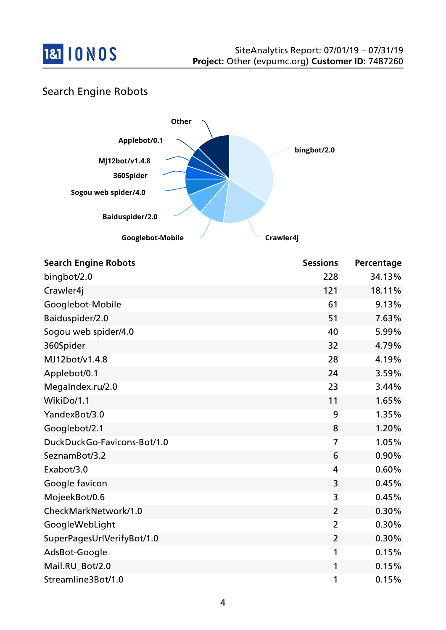

## Search Engine Robots



| <b>Search Engine Robots</b> | <b>Sessions</b> | Percentage |
|-----------------------------|-----------------|------------|
| bingbot/2.0                 | 228             | 34.13%     |
| Crawler4j                   | 121             | 18.11%     |
| Googlebot-Mobile            | 61              | 9.13%      |
| Baiduspider/2.0             | 51              | 7.63%      |
| Sogou web spider/4.0        | 40              | 5.99%      |
| 360Spider                   | 32              | 4.79%      |
| MJ12bot/v1.4.8              | 28              | 4.19%      |
| Applebot/0.1                | 24              | 3.59%      |
| MegaIndex.ru/2.0            | 23              | 3.44%      |
| WikiDo/1.1                  | 11              | 1.65%      |
| YandexBot/3.0               | 9               | 1.35%      |
| Googlebot/2.1               | 8               | 1.20%      |
| DuckDuckGo-Favicons-Bot/1.0 | 7               | 1.05%      |
| SeznamBot/3.2               | 6               | 0.90%      |
| Exabot/3.0                  | 4               | 0.60%      |
| Google favicon              | 3               | 0.45%      |
| MojeekBot/0.6               | 3               | 0.45%      |
| CheckMarkNetwork/1.0        | $\overline{2}$  | 0.30%      |
| GoogleWebLight              | $\overline{2}$  | 0.30%      |
| SuperPagesUrlVerifyBot/1.0  | $\overline{2}$  | 0.30%      |
| AdsBot-Google               | 1               | 0.15%      |
| Mail.RU_Bot/2.0             | 1               | 0.15%      |
| Streamline3Bot/1.0          | 1               | 0.15%      |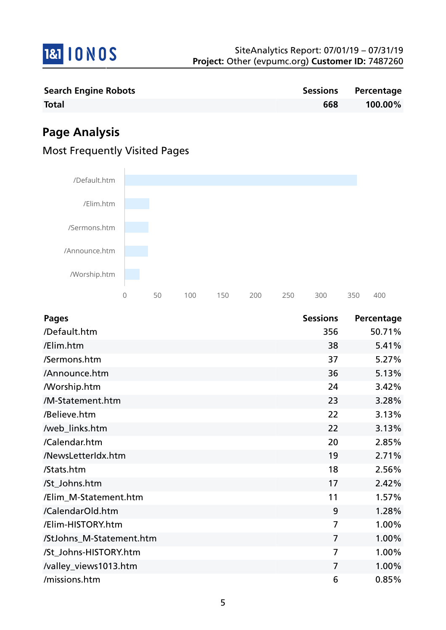

| <b>Search Engine Robots</b> |     | Sessions Percentage |
|-----------------------------|-----|---------------------|
| <b>Total</b>                | 668 | 100.00%             |

# **Page Analysis**

## Most Frequently Visited Pages



| <b>Pages</b>             | <b>Sessions</b> | Percentage |
|--------------------------|-----------------|------------|
| /Default.htm             | 356             | 50.71%     |
| /Elim.htm                | 38              | 5.41%      |
| /Sermons.htm             | 37              | 5.27%      |
| /Announce.htm            | 36              | 5.13%      |
| <b>Morship.htm</b>       | 24              | 3.42%      |
| /M-Statement.htm         | 23              | 3.28%      |
| /Believe.htm             | 22              | 3.13%      |
| /web_links.htm           | 22              | 3.13%      |
| /Calendar.htm            | 20              | 2.85%      |
| /NewsLetterIdx.htm       | 19              | 2.71%      |
| /Stats.htm               | 18              | 2.56%      |
| /St_Johns.htm            | 17              | 2.42%      |
| /Elim_M-Statement.htm    | 11              | 1.57%      |
| /CalendarOld.htm         | 9               | 1.28%      |
| /Elim-HISTORY.htm        | $\overline{7}$  | 1.00%      |
| /StJohns_M-Statement.htm | $\overline{7}$  | 1.00%      |
| /St_Johns-HISTORY.htm    | 7               | 1.00%      |
| /valley_views1013.htm    | $\overline{7}$  | 1.00%      |
| /missions.htm            | 6               | 0.85%      |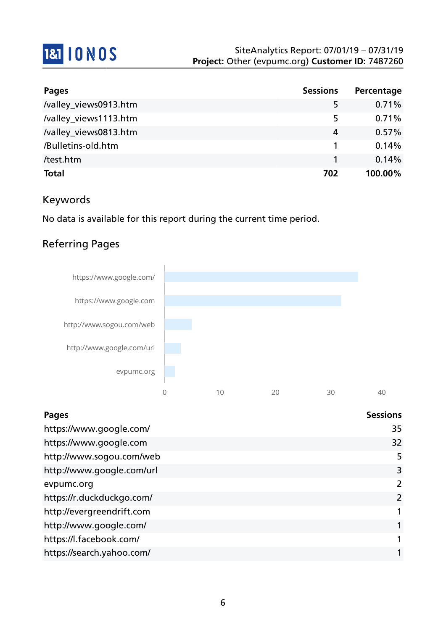

| <b>Pages</b>          | <b>Sessions</b> | Percentage |
|-----------------------|-----------------|------------|
| /valley_views0913.htm | 5               | 0.71%      |
| /valley_views1113.htm | 5               | 0.71%      |
| /valley_views0813.htm | 4               | 0.57%      |
| /Bulletins-old.htm    |                 | 0.14%      |
| /test.htm             |                 | 0.14%      |
| <b>Total</b>          | 702             | 100.00%    |

### Keywords

No data is available for this report during the current time period.

# Referring Pages



| <b>Pages</b>              | <b>Sessions</b> |
|---------------------------|-----------------|
| https://www.google.com/   | 35              |
| https://www.google.com    | 32              |
| http://www.sogou.com/web  | 5               |
| http://www.google.com/url | 3               |
| evpumc.org                | 2               |
| https://r.duckduckgo.com/ | 2               |
| http://evergreendrift.com |                 |
| http://www.google.com/    |                 |
| https://l.facebook.com/   |                 |
| https://search.yahoo.com/ |                 |
|                           |                 |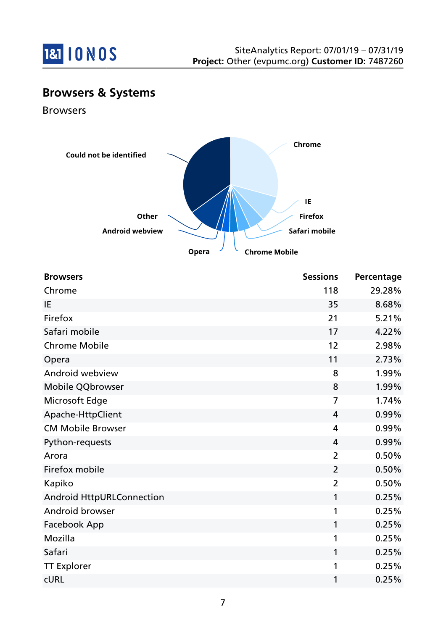

# **Browsers & Systems**

Browsers



| <b>Browsers</b>                  | <b>Sessions</b> | Percentage |
|----------------------------------|-----------------|------------|
| Chrome                           | 118             | 29.28%     |
| IE                               | 35              | 8.68%      |
| Firefox                          | 21              | 5.21%      |
| Safari mobile                    | 17              | 4.22%      |
| <b>Chrome Mobile</b>             | 12              | 2.98%      |
| Opera                            | 11              | 2.73%      |
| Android webview                  | 8               | 1.99%      |
| Mobile QQbrowser                 | 8               | 1.99%      |
| Microsoft Edge                   | 7               | 1.74%      |
| Apache-HttpClient                | 4               | 0.99%      |
| <b>CM Mobile Browser</b>         | 4               | 0.99%      |
| Python-requests                  | 4               | 0.99%      |
| Arora                            | $\overline{2}$  | 0.50%      |
| Firefox mobile                   | $\overline{2}$  | 0.50%      |
| Kapiko                           | $\overline{2}$  | 0.50%      |
| <b>Android HttpURLConnection</b> | 1               | 0.25%      |
| Android browser                  | 1               | 0.25%      |
| Facebook App                     | 1               | 0.25%      |
| Mozilla                          | 1               | 0.25%      |
| Safari                           | 1               | 0.25%      |
| <b>TT Explorer</b>               | 1               | 0.25%      |
| <b>CURL</b>                      | 1               | 0.25%      |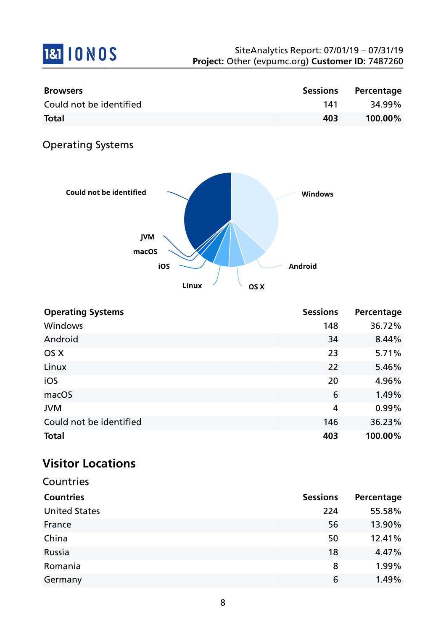

| <b>Browsers</b>         | <b>Sessions</b> | Percentage |
|-------------------------|-----------------|------------|
| Could not be identified | 141             | 34.99%     |
| <b>Total</b>            | 403             | 100.00%    |

# Operating Systems



| <b>Operating Systems</b> | <b>Sessions</b> | Percentage |
|--------------------------|-----------------|------------|
| <b>Windows</b>           | 148             | 36.72%     |
| Android                  | 34              | 8.44%      |
| OS X                     | 23              | 5.71%      |
| Linux                    | 22              | 5.46%      |
| iOS                      | 20              | 4.96%      |
| macOS                    | 6               | 1.49%      |
| <b>JVM</b>               | $\overline{4}$  | 0.99%      |
| Could not be identified  | 146             | 36.23%     |
| <b>Total</b>             | 403             | 100.00%    |

# **Visitor Locations**

| Countries            |                 |            |
|----------------------|-----------------|------------|
| <b>Countries</b>     | <b>Sessions</b> | Percentage |
| <b>United States</b> | 224             | 55.58%     |
| France               | 56              | 13.90%     |
| China                | 50              | 12.41%     |
| Russia               | 18              | 4.47%      |
| Romania              | 8               | 1.99%      |
| Germany              | 6               | 1.49%      |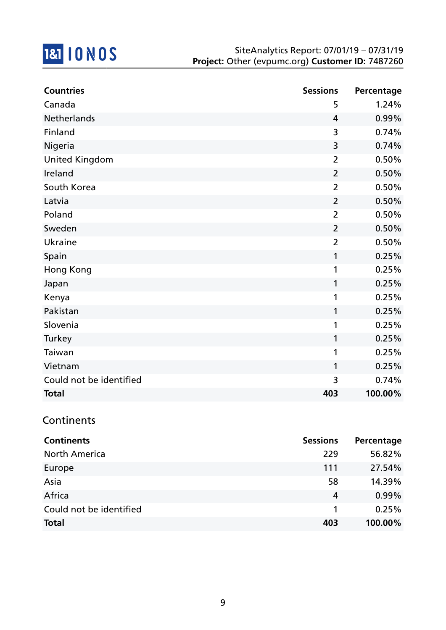

| <b>Countries</b>        | <b>Sessions</b> | Percentage |
|-------------------------|-----------------|------------|
| Canada                  | 5               | 1.24%      |
| Netherlands             | 4               | 0.99%      |
| Finland                 | 3               | 0.74%      |
| Nigeria                 | 3               | 0.74%      |
| <b>United Kingdom</b>   | $\overline{2}$  | 0.50%      |
| Ireland                 | $\overline{2}$  | 0.50%      |
| South Korea             | $\overline{2}$  | 0.50%      |
| Latvia                  | $\overline{2}$  | 0.50%      |
| Poland                  | $\overline{2}$  | 0.50%      |
| Sweden                  | $\overline{2}$  | 0.50%      |
| Ukraine                 | $\overline{2}$  | 0.50%      |
| Spain                   | 1               | 0.25%      |
| <b>Hong Kong</b>        | 1               | 0.25%      |
| Japan                   | 1               | 0.25%      |
| Kenya                   | 1               | 0.25%      |
| Pakistan                | 1               | 0.25%      |
| Slovenia                | 1               | 0.25%      |
| Turkey                  | 1               | 0.25%      |
| Taiwan                  | 1               | 0.25%      |
| Vietnam                 | 1               | 0.25%      |
| Could not be identified | 3               | 0.74%      |
| <b>Total</b>            | 403             | 100.00%    |

### Continents

| <b>Continents</b>       | <b>Sessions</b> | Percentage |
|-------------------------|-----------------|------------|
| <b>North America</b>    | 229             | 56.82%     |
| Europe                  | 111             | 27.54%     |
| Asia                    | 58              | 14.39%     |
| Africa                  | 4               | 0.99%      |
| Could not be identified |                 | 0.25%      |
| <b>Total</b>            | 403             | 100.00%    |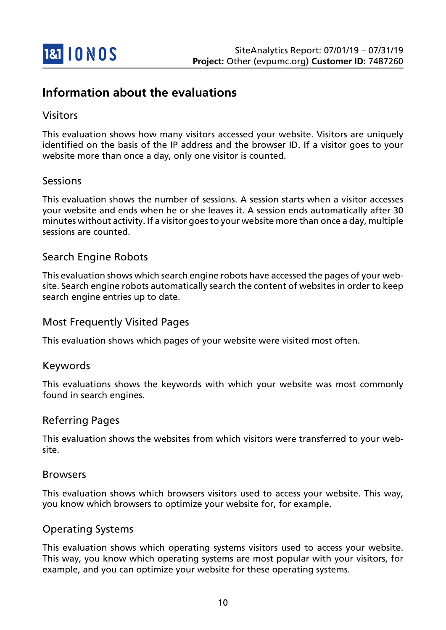

## **Information about the evaluations**

### Visitors

This evaluation shows how many visitors accessed your website. Visitors are uniquely identified on the basis of the IP address and the browser ID. If a visitor goes to your website more than once a day, only one visitor is counted.

### Sessions

This evaluation shows the number of sessions. A session starts when a visitor accesses your website and ends when he or she leaves it. A session ends automatically after 30 minutes without activity. If a visitor goes to your website more than once a day, multiple sessions are counted.

### Search Engine Robots

This evaluation shows which search engine robots have accessed the pages of your website. Search engine robots automatically search the content of websites in order to keep search engine entries up to date.

#### Most Frequently Visited Pages

This evaluation shows which pages of your website were visited most often.

#### Keywords

This evaluations shows the keywords with which your website was most commonly found in search engines.

#### Referring Pages

This evaluation shows the websites from which visitors were transferred to your website.

#### Browsers

This evaluation shows which browsers visitors used to access your website. This way, you know which browsers to optimize your website for, for example.

#### Operating Systems

This evaluation shows which operating systems visitors used to access your website. This way, you know which operating systems are most popular with your visitors, for example, and you can optimize your website for these operating systems.